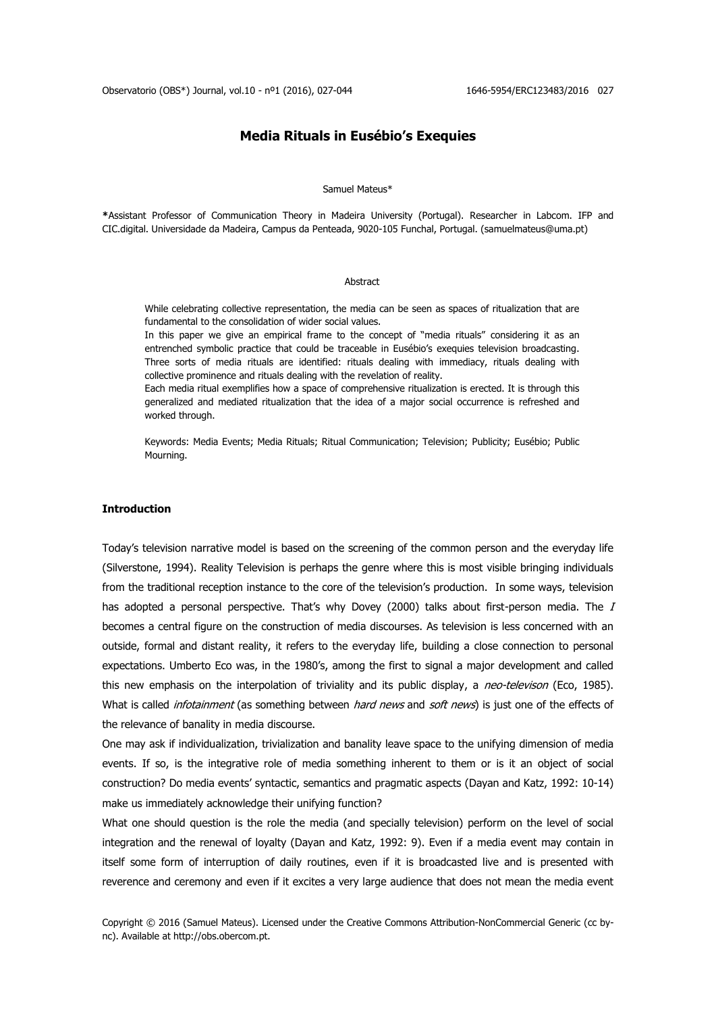# **Media Rituals in Eusébio's Exequies**

#### Samuel Mateus\*

**\***Assistant Professor of Communication Theory in Madeira University (Portugal). Researcher in Labcom. IFP and CIC.digital. Universidade da Madeira, Campus da Penteada, 9020-105 Funchal, Portugal. (samuelmateus@uma.pt)

#### **Abstract**

While celebrating collective representation, the media can be seen as spaces of ritualization that are fundamental to the consolidation of wider social values.

In this paper we give an empirical frame to the concept of "media rituals" considering it as an entrenched symbolic practice that could be traceable in Eusébio's exequies television broadcasting. Three sorts of media rituals are identified: rituals dealing with immediacy, rituals dealing with collective prominence and rituals dealing with the revelation of reality.

Each media ritual exemplifies how a space of comprehensive ritualization is erected. It is through this generalized and mediated ritualization that the idea of a major social occurrence is refreshed and worked through.

Keywords: Media Events; Media Rituals; Ritual Communication; Television; Publicity; Eusébio; Public Mourning.

### **Introduction**

Today's television narrative model is based on the screening of the common person and the everyday life (Silverstone, 1994). Reality Television is perhaps the genre where this is most visible bringing individuals from the traditional reception instance to the core of the television's production. In some ways, television has adopted a personal perspective. That's why Dovey (2000) talks about first-person media. The  $I$ becomes a central figure on the construction of media discourses. As television is less concerned with an outside, formal and distant reality, it refers to the everyday life, building a close connection to personal expectations. Umberto Eco was, in the 1980's, among the first to signal a major development and called this new emphasis on the interpolation of triviality and its public display, a *neo-televison* (Eco, 1985). What is called *infotainment* (as something between *hard news* and *soft news*) is just one of the effects of the relevance of banality in media discourse.

One may ask if individualization, trivialization and banality leave space to the unifying dimension of media events. If so, is the integrative role of media something inherent to them or is it an object of social construction? Do media events' syntactic, semantics and pragmatic aspects (Dayan and Katz, 1992: 10-14) make us immediately acknowledge their unifying function?

What one should question is the role the media (and specially television) perform on the level of social integration and the renewal of loyalty (Dayan and Katz, 1992: 9). Even if a media event may contain in itself some form of interruption of daily routines, even if it is broadcasted live and is presented with reverence and ceremony and even if it excites a very large audience that does not mean the media event

Copyright © 2016 (Samuel Mateus). Licensed under the Creative Commons Attribution-NonCommercial Generic (cc bync). Available at http://obs.obercom.pt.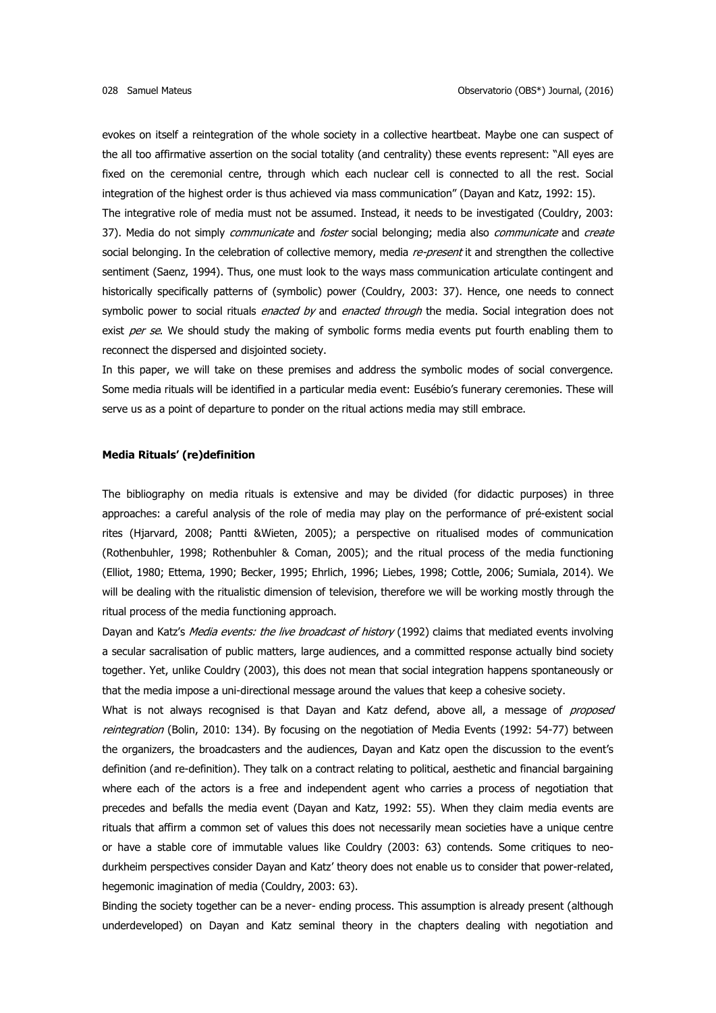evokes on itself a reintegration of the whole society in a collective heartbeat. Maybe one can suspect of the all too affirmative assertion on the social totality (and centrality) these events represent: "All eyes are fixed on the ceremonial centre, through which each nuclear cell is connected to all the rest. Social integration of the highest order is thus achieved via mass communication" (Dayan and Katz, 1992: 15). The integrative role of media must not be assumed. Instead, it needs to be investigated (Couldry, 2003: 37). Media do not simply communicate and foster social belonging; media also communicate and create social belonging. In the celebration of collective memory, media re-present it and strengthen the collective sentiment (Saenz, 1994). Thus, one must look to the ways mass communication articulate contingent and historically specifically patterns of (symbolic) power (Couldry, 2003: 37). Hence, one needs to connect symbolic power to social rituals *enacted by* and *enacted through* the media. Social integration does not exist per se. We should study the making of symbolic forms media events put fourth enabling them to reconnect the dispersed and disjointed society.

In this paper, we will take on these premises and address the symbolic modes of social convergence. Some media rituals will be identified in a particular media event: Eusébio's funerary ceremonies. These will serve us as a point of departure to ponder on the ritual actions media may still embrace.

### **Media Rituals' (re)definition**

The bibliography on media rituals is extensive and may be divided (for didactic purposes) in three approaches: a careful analysis of the role of media may play on the performance of pré-existent social rites (Hjarvard, 2008; Pantti &Wieten, 2005); a perspective on ritualised modes of communication (Rothenbuhler, 1998; Rothenbuhler & Coman, 2005); and the ritual process of the media functioning (Elliot, 1980; Ettema, 1990; Becker, 1995; Ehrlich, 1996; Liebes, 1998; Cottle, 2006; Sumiala, 2014). We will be dealing with the ritualistic dimension of television, therefore we will be working mostly through the ritual process of the media functioning approach.

Dayan and Katz's Media events: the live broadcast of history (1992) claims that mediated events involving a secular sacralisation of public matters, large audiences, and a committed response actually bind society together. Yet, unlike Couldry (2003), this does not mean that social integration happens spontaneously or that the media impose a uni-directional message around the values that keep a cohesive society.

What is not always recognised is that Dayan and Katz defend, above all, a message of *proposed* reintegration (Bolin, 2010: 134). By focusing on the negotiation of Media Events (1992: 54-77) between the organizers, the broadcasters and the audiences, Dayan and Katz open the discussion to the event's definition (and re-definition). They talk on a contract relating to political, aesthetic and financial bargaining where each of the actors is a free and independent agent who carries a process of negotiation that precedes and befalls the media event (Dayan and Katz, 1992: 55). When they claim media events are rituals that affirm a common set of values this does not necessarily mean societies have a unique centre or have a stable core of immutable values like Couldry (2003: 63) contends. Some critiques to neodurkheim perspectives consider Dayan and Katz' theory does not enable us to consider that power-related, hegemonic imagination of media (Couldry, 2003: 63).

Binding the society together can be a never- ending process. This assumption is already present (although underdeveloped) on Dayan and Katz seminal theory in the chapters dealing with negotiation and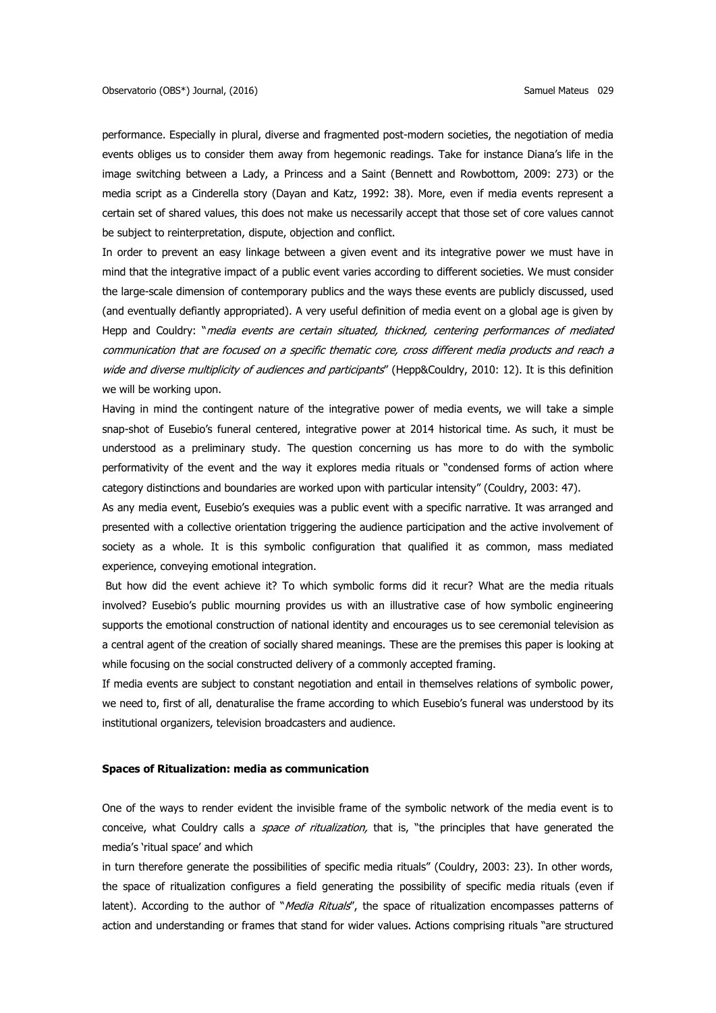performance. Especially in plural, diverse and fragmented post-modern societies, the negotiation of media events obliges us to consider them away from hegemonic readings. Take for instance Diana's life in the image switching between a Lady, a Princess and a Saint (Bennett and Rowbottom, 2009: 273) or the media script as a Cinderella story (Dayan and Katz, 1992: 38). More, even if media events represent a certain set of shared values, this does not make us necessarily accept that those set of core values cannot be subject to reinterpretation, dispute, objection and conflict.

In order to prevent an easy linkage between a given event and its integrative power we must have in mind that the integrative impact of a public event varies according to different societies. We must consider the large-scale dimension of contemporary publics and the ways these events are publicly discussed, used (and eventually defiantly appropriated). A very useful definition of media event on a global age is given by Hepp and Couldry: "media events are certain situated, thickned, centering performances of mediated communication that are focused on a specific thematic core, cross different media products and reach a wide and diverse multiplicity of audiences and participants" (Hepp&Couldry, 2010: 12). It is this definition we will be working upon.

Having in mind the contingent nature of the integrative power of media events, we will take a simple snap-shot of Eusebio's funeral centered, integrative power at 2014 historical time. As such, it must be understood as a preliminary study. The question concerning us has more to do with the symbolic performativity of the event and the way it explores media rituals or "condensed forms of action where category distinctions and boundaries are worked upon with particular intensity" (Couldry, 2003: 47).

As any media event, Eusebio's exequies was a public event with a specific narrative. It was arranged and presented with a collective orientation triggering the audience participation and the active involvement of society as a whole. It is this symbolic configuration that qualified it as common, mass mediated experience, conveying emotional integration.

But how did the event achieve it? To which symbolic forms did it recur? What are the media rituals involved? Eusebio's public mourning provides us with an illustrative case of how symbolic engineering supports the emotional construction of national identity and encourages us to see ceremonial television as a central agent of the creation of socially shared meanings. These are the premises this paper is looking at while focusing on the social constructed delivery of a commonly accepted framing.

If media events are subject to constant negotiation and entail in themselves relations of symbolic power, we need to, first of all, denaturalise the frame according to which Eusebio's funeral was understood by its institutional organizers, television broadcasters and audience.

### **Spaces of Ritualization: media as communication**

One of the ways to render evident the invisible frame of the symbolic network of the media event is to conceive, what Couldry calls a *space of ritualization*, that is, "the principles that have generated the media's 'ritual space' and which

in turn therefore generate the possibilities of specific media rituals" (Couldry, 2003: 23). In other words, the space of ritualization configures a field generating the possibility of specific media rituals (even if latent). According to the author of "Media Rituals", the space of ritualization encompasses patterns of action and understanding or frames that stand for wider values. Actions comprising rituals "are structured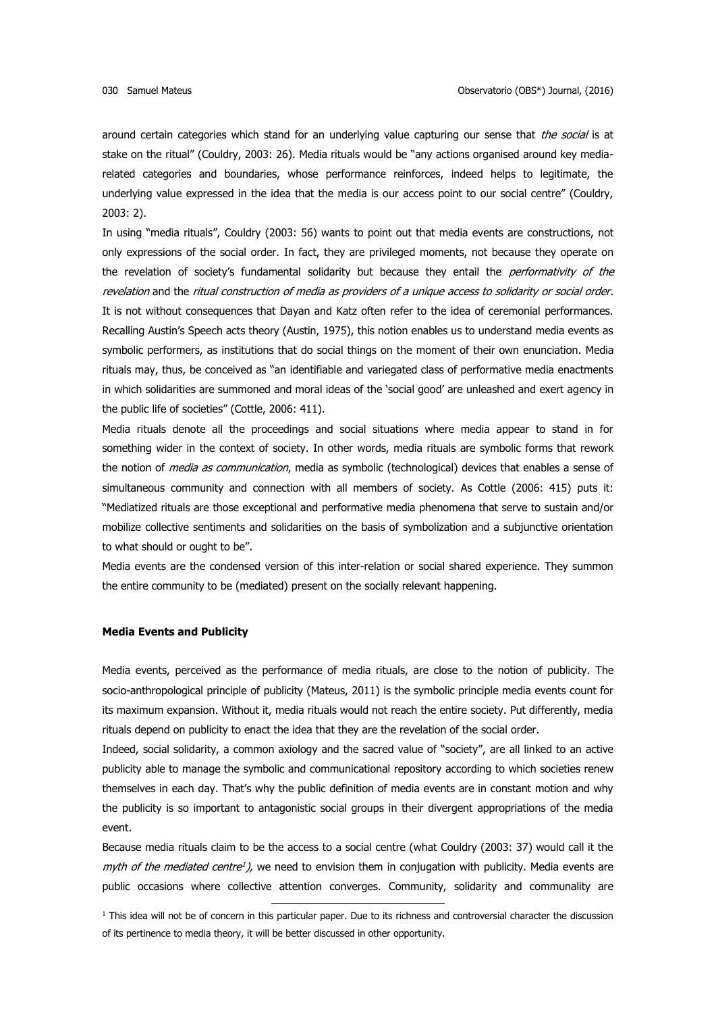around certain categories which stand for an underlying value capturing our sense that the social is at stake on the ritual" (Couldry, 2003: 26). Media rituals would be "any actions organised around key mediarelated categories and boundaries, whose performance reinforces, indeed helps to legitimate, the underlying value expressed in the idea that the media is our access point to our social centre" (Couldry, 2003: 2).

In using "media rituals", Couldry (2003: 56) wants to point out that media events are constructions, not only expressions of the social order. In fact, they are privileged moments, not because they operate on the revelation of society's fundamental solidarity but because they entail the *performativity of the* revelation and the ritual construction of media as providers of a unique access to solidarity or social order. It is not without consequences that Dayan and Katz often refer to the idea of ceremonial performances. Recalling Austin's Speech acts theory (Austin, 1975), this notion enables us to understand media events as symbolic performers, as institutions that do social things on the moment of their own enunciation. Media rituals may, thus, be conceived as "an identifiable and variegated class of performative media enactments in which solidarities are summoned and moral ideas of the 'social good' are unleashed and exert agency in the public life of societies" (Cottle, 2006: 411).

Media rituals denote all the proceedings and social situations where media appear to stand in for something wider in the context of society. In other words, media rituals are symbolic forms that rework the notion of *media as communication*, media as symbolic (technological) devices that enables a sense of simultaneous community and connection with all members of society. As Cottle (2006: 415) puts it: "Mediatized rituals are those exceptional and performative media phenomena that serve to sustain and/or mobilize collective sentiments and solidarities on the basis of symbolization and a subjunctive orientation to what should or ought to be".

Media events are the condensed version of this inter-relation or social shared experience. They summon the entire community to be (mediated) present on the socially relevant happening.

### **Media Events and Publicity**

Media events, perceived as the performance of media rituals, are close to the notion of publicity. The socio-anthropological principle of publicity (Mateus, 2011) is the symbolic principle media events count for its maximum expansion. Without it, media rituals would not reach the entire society. Put differently, media rituals depend on publicity to enact the idea that they are the revelation of the social order.

Indeed, social solidarity, a common axiology and the sacred value of "society", are all linked to an active publicity able to manage the symbolic and communicational repository according to which societies renew themselves in each day. That's why the public definition of media events are in constant motion and why the publicity is so important to antagonistic social groups in their divergent appropriations of the media event.

Because media rituals claim to be the access to a social centre (what Couldry (2003: 37) would call it the myth of the mediated centre<sup>1</sup>), we need to envision them in conjugation with publicity. Media events are public occasions where collective attention converges. Community, solidarity and communality are

 $1$  This idea will not be of concern in this particular paper. Due to its richness and controversial character the discussion of its pertinence to media theory, it will be better discussed in other opportunity.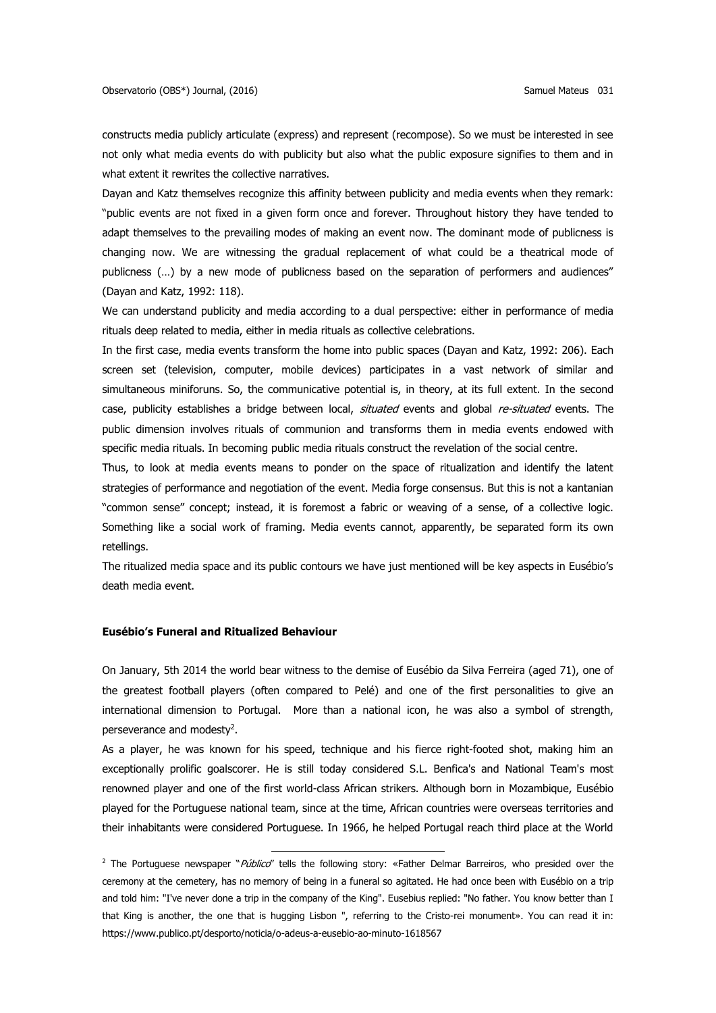constructs media publicly articulate (express) and represent (recompose). So we must be interested in see not only what media events do with publicity but also what the public exposure signifies to them and in what extent it rewrites the collective narratives.

Dayan and Katz themselves recognize this affinity between publicity and media events when they remark: "public events are not fixed in a given form once and forever. Throughout history they have tended to adapt themselves to the prevailing modes of making an event now. The dominant mode of publicness is changing now. We are witnessing the gradual replacement of what could be a theatrical mode of publicness (...) by a new mode of publicness based on the separation of performers and audiences" (Dayan and Katz, 1992: 118).

We can understand publicity and media according to a dual perspective: either in performance of media rituals deep related to media, either in media rituals as collective celebrations.

In the first case, media events transform the home into public spaces (Dayan and Katz, 1992: 206). Each screen set (television, computer, mobile devices) participates in a vast network of similar and simultaneous miniforuns. So, the communicative potential is, in theory, at its full extent. In the second case, publicity establishes a bridge between local, situated events and global re-situated events. The public dimension involves rituals of communion and transforms them in media events endowed with specific media rituals. In becoming public media rituals construct the revelation of the social centre.

Thus, to look at media events means to ponder on the space of ritualization and identify the latent strategies of performance and negotiation of the event. Media forge consensus. But this is not a kantanian "common sense" concept; instead, it is foremost a fabric or weaving of a sense, of a collective logic. Something like a social work of framing. Media events cannot, apparently, be separated form its own retellings.

The ritualized media space and its public contours we have just mentioned will be key aspects in Eusébio's death media event.

### **Eusébio's Funeral and Ritualized Behaviour**

On January, 5th 2014 the world bear witness to the demise of Eusébio da Silva Ferreira (aged 71), one of the greatest football players (often compared to Pelé) and one of the first personalities to give an international dimension to Portugal. More than a national icon, he was also a symbol of strength, perseverance and modesty<sup>2</sup>.

As a player, he was known for his speed, technique and his fierce right-footed shot, making him an exceptionally prolific goalscorer. He is still today considered S.L. Benfica's and National Team's most renowned player and one of the first world-class African strikers. Although born in Mozambique, Eusébio played for the Portuguese national team, since at the time, African countries were overseas territories and their inhabitants were considered Portuguese. In 1966, he helped Portugal reach third place at the World

<sup>&</sup>lt;sup>2</sup> The Portuguese newspaper "*Público*" tells the following story: «Father Delmar Barreiros, who presided over the ceremony at the cemetery, has no memory of being in a funeral so agitated. He had once been with Eusébio on a trip and told him: "I've never done a trip in the company of the King". Eusebius replied: "No father. You know better than I that King is another, the one that is hugging Lisbon ", referring to the Cristo-rei monument». You can read it in: https://www.publico.pt/desporto/noticia/o-adeus-a-eusebio-ao-minuto-1618567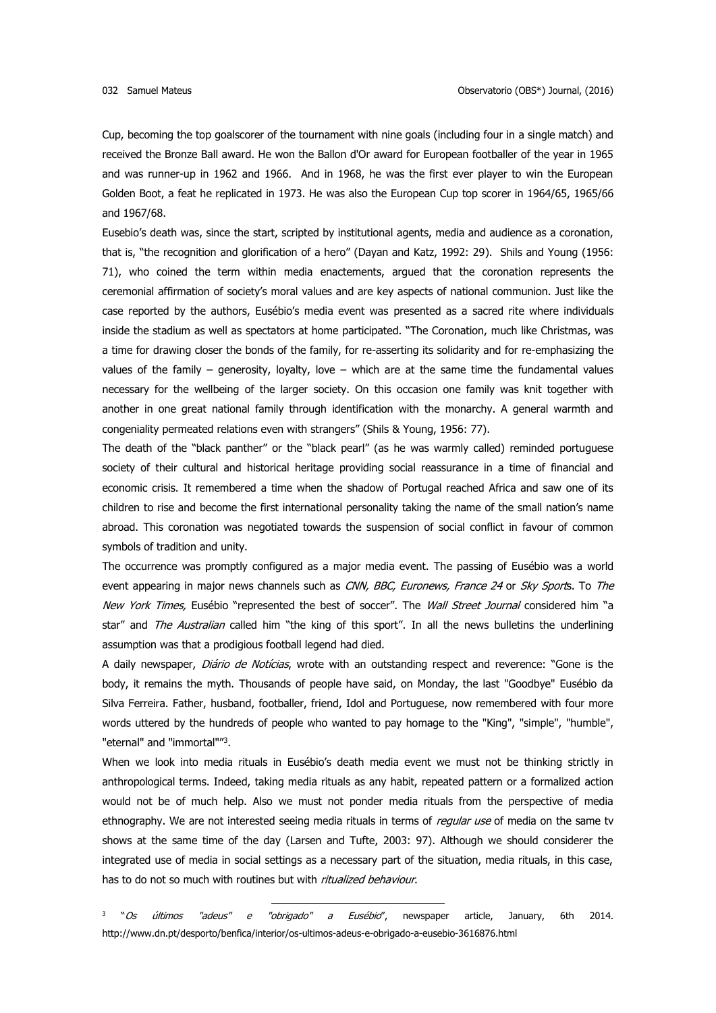Cup, becoming the top goalscorer of the tournament with nine goals (including four in a single match) and received the Bronze Ball award. He won the Ballon d'Or award for European footballer of the year in 1965 and was runner-up in 1962 and 1966. And in 1968, he was the first ever player to win the European Golden Boot, a feat he replicated in 1973. He was also the European Cup top scorer in 1964/65, 1965/66 and 1967/68.

Eusebio's death was, since the start, scripted by institutional agents, media and audience as a coronation, that is, "the recognition and glorification of a hero" (Dayan and Katz, 1992: 29). Shils and Young (1956: 71), who coined the term within media enactements, argued that the coronation represents the ceremonial affirmation of society's moral values and are key aspects of national communion. Just like the case reported by the authors, Eusébio's media event was presented as a sacred rite where individuals inside the stadium as well as spectators at home participated. "The Coronation, much like Christmas, was a time for drawing closer the bonds of the family, for re-asserting its solidarity and for re-emphasizing the values of the family – generosity, loyalty, love – which are at the same time the fundamental values necessary for the wellbeing of the larger society. On this occasion one family was knit together with another in one great national family through identification with the monarchy. A general warmth and congeniality permeated relations even with strangers" (Shils & Young, 1956: 77).

The death of the "black panther" or the "black pearl" (as he was warmly called) reminded portuguese society of their cultural and historical heritage providing social reassurance in a time of financial and economic crisis. It remembered a time when the shadow of Portugal reached Africa and saw one of its children to rise and become the first international personality taking the name of the small nation's name abroad. This coronation was negotiated towards the suspension of social conflict in favour of common symbols of tradition and unity.

The occurrence was promptly configured as a major media event. The passing of Eusébio was a world event appearing in major news channels such as CNN, BBC, Euronews, France 24 or Sky Sports. To The New York Times, Eusébio "represented the best of soccer". The Wall Street Journal considered him "a star" and The Australian called him "the king of this sport". In all the news bulletins the underlining assumption was that a prodigious football legend had died.

A daily newspaper, *Diário de Notícias*, wrote with an outstanding respect and reverence: "Gone is the body, it remains the myth. Thousands of people have said, on Monday, the last "Goodbye" Eusébio da Silva Ferreira. Father, husband, footballer, friend, Idol and Portuguese, now remembered with four more words uttered by the hundreds of people who wanted to pay homage to the "King", "simple", "humble", "eternal" and "immortal""<sup>3</sup>.

When we look into media rituals in Eusébio's death media event we must not be thinking strictly in anthropological terms. Indeed, taking media rituals as any habit, repeated pattern or a formalized action would not be of much help. Also we must not ponder media rituals from the perspective of media ethnography. We are not interested seeing media rituals in terms of regular use of media on the same tv shows at the same time of the day (Larsen and Tufte, 2003: 97). Although we should considerer the integrated use of media in social settings as a necessary part of the situation, media rituals, in this case, has to do not so much with routines but with ritualized behaviour.

3 "Os últimos "adeus" e "obrigado" a Eusébio", newspaper article, January, 6th 2014. http://www.dn.pt/desporto/benfica/interior/os-ultimos-adeus-e-obrigado-a-eusebio-3616876.html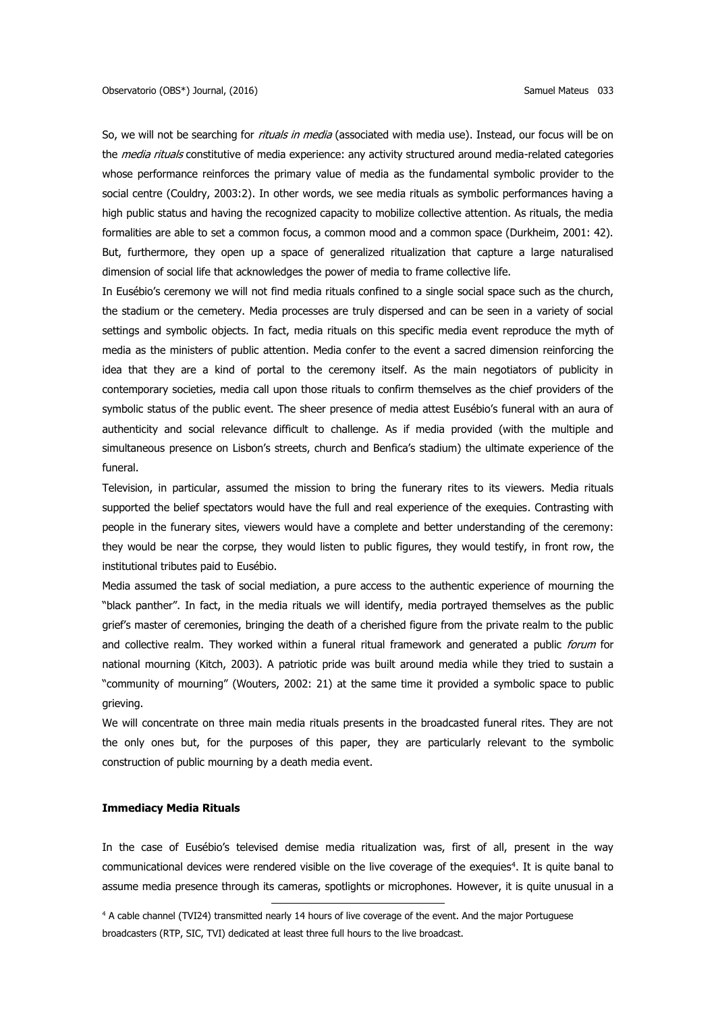So, we will not be searching for rituals in media (associated with media use). Instead, our focus will be on the *media rituals* constitutive of media experience: any activity structured around media-related categories whose performance reinforces the primary value of media as the fundamental symbolic provider to the social centre (Couldry, 2003:2). In other words, we see media rituals as symbolic performances having a high public status and having the recognized capacity to mobilize collective attention. As rituals, the media formalities are able to set a common focus, a common mood and a common space (Durkheim, 2001: 42). But, furthermore, they open up a space of generalized ritualization that capture a large naturalised dimension of social life that acknowledges the power of media to frame collective life.

In Eusébio's ceremony we will not find media rituals confined to a single social space such as the church, the stadium or the cemetery. Media processes are truly dispersed and can be seen in a variety of social settings and symbolic objects. In fact, media rituals on this specific media event reproduce the myth of media as the ministers of public attention. Media confer to the event a sacred dimension reinforcing the idea that they are a kind of portal to the ceremony itself. As the main negotiators of publicity in contemporary societies, media call upon those rituals to confirm themselves as the chief providers of the symbolic status of the public event. The sheer presence of media attest Eusébio's funeral with an aura of authenticity and social relevance difficult to challenge. As if media provided (with the multiple and simultaneous presence on Lisbon's streets, church and Benfica's stadium) the ultimate experience of the funeral.

Television, in particular, assumed the mission to bring the funerary rites to its viewers. Media rituals supported the belief spectators would have the full and real experience of the exequies. Contrasting with people in the funerary sites, viewers would have a complete and better understanding of the ceremony: they would be near the corpse, they would listen to public figures, they would testify, in front row, the institutional tributes paid to Eusébio.

Media assumed the task of social mediation, a pure access to the authentic experience of mourning the "black panther". In fact, in the media rituals we will identify, media portrayed themselves as the public grief's master of ceremonies, bringing the death of a cherished figure from the private realm to the public and collective realm. They worked within a funeral ritual framework and generated a public forum for national mourning (Kitch, 2003). A patriotic pride was built around media while they tried to sustain a "community of mourning" (Wouters, 2002: 21) at the same time it provided a symbolic space to public grieving.

We will concentrate on three main media rituals presents in the broadcasted funeral rites. They are not the only ones but, for the purposes of this paper, they are particularly relevant to the symbolic construction of public mourning by a death media event.

### **Immediacy Media Rituals**

In the case of Eusébio's televised demise media ritualization was, first of all, present in the way communicational devices were rendered visible on the live coverage of the exequies<sup>4</sup>. It is quite banal to assume media presence through its cameras, spotlights or microphones. However, it is quite unusual in a

<sup>4</sup> A cable channel (TVI24) transmitted nearly 14 hours of live coverage of the event. And the major Portuguese broadcasters (RTP, SIC, TVI) dedicated at least three full hours to the live broadcast.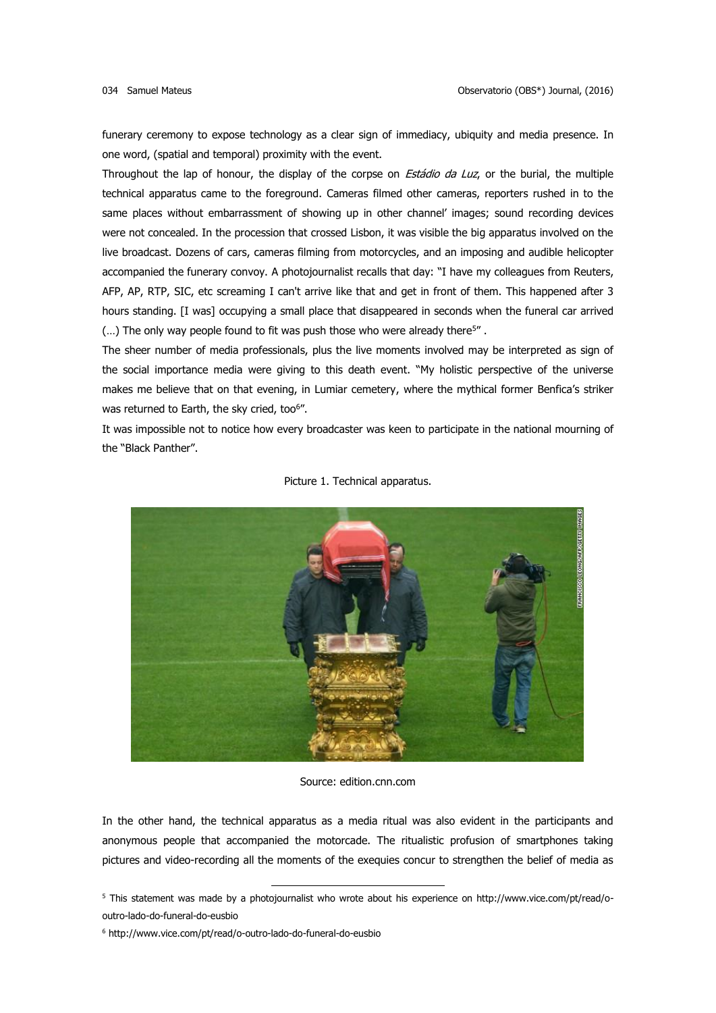funerary ceremony to expose technology as a clear sign of immediacy, ubiquity and media presence. In one word, (spatial and temporal) proximity with the event.

Throughout the lap of honour, the display of the corpse on *Estádio da Luz*, or the burial, the multiple technical apparatus came to the foreground. Cameras filmed other cameras, reporters rushed in to the same places without embarrassment of showing up in other channel' images; sound recording devices were not concealed. In the procession that crossed Lisbon, it was visible the big apparatus involved on the live broadcast. Dozens of cars, cameras filming from motorcycles, and an imposing and audible helicopter accompanied the funerary convoy. A photojournalist recalls that day: "I have my colleagues from Reuters, AFP, AP, RTP, SIC, etc screaming I can't arrive like that and get in front of them. This happened after 3 hours standing. [I was] occupying a small place that disappeared in seconds when the funeral car arrived  $(...)$  The only way people found to fit was push those who were already there<sup>5"</sup>.

The sheer number of media professionals, plus the live moments involved may be interpreted as sign of the social importance media were giving to this death event. "My holistic perspective of the universe makes me believe that on that evening, in Lumiar cemetery, where the mythical former Benfica's striker was returned to Earth, the sky cried, too<sup>6"</sup>.

It was impossible not to notice how every broadcaster was keen to participate in the national mourning of the "Black Panther".



Picture 1. Technical apparatus.

Source: edition.cnn.com

In the other hand, the technical apparatus as a media ritual was also evident in the participants and anonymous people that accompanied the motorcade. The ritualistic profusion of smartphones taking pictures and video-recording all the moments of the exequies concur to strengthen the belief of media as

 $\overline{a}$ 

<sup>5</sup> This statement was made by a photojournalist who wrote about his experience on http://www.vice.com/pt/read/ooutro-lado-do-funeral-do-eusbio

<sup>6</sup> http://www.vice.com/pt/read/o-outro-lado-do-funeral-do-eusbio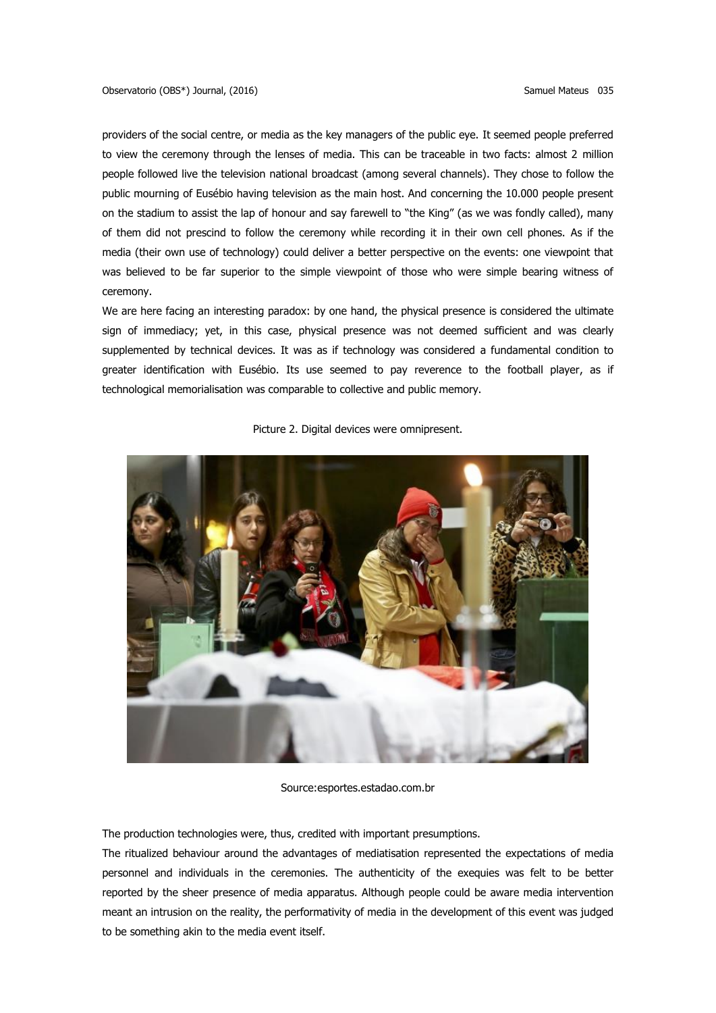providers of the social centre, or media as the key managers of the public eye. It seemed people preferred to view the ceremony through the lenses of media. This can be traceable in two facts: almost 2 million people followed live the television national broadcast (among several channels). They chose to follow the public mourning of Eusébio having television as the main host. And concerning the 10.000 people present on the stadium to assist the lap of honour and say farewell to "the King" (as we was fondly called), many of them did not prescind to follow the ceremony while recording it in their own cell phones. As if the media (their own use of technology) could deliver a better perspective on the events: one viewpoint that was believed to be far superior to the simple viewpoint of those who were simple bearing witness of ceremony.

We are here facing an interesting paradox: by one hand, the physical presence is considered the ultimate sign of immediacy; yet, in this case, physical presence was not deemed sufficient and was clearly supplemented by technical devices. It was as if technology was considered a fundamental condition to greater identification with Eusébio. Its use seemed to pay reverence to the football player, as if technological memorialisation was comparable to collective and public memory.



Picture 2. Digital devices were omnipresent.

Source:esportes.estadao.com.br

The production technologies were, thus, credited with important presumptions.

The ritualized behaviour around the advantages of mediatisation represented the expectations of media personnel and individuals in the ceremonies. The authenticity of the exequies was felt to be better reported by the sheer presence of media apparatus. Although people could be aware media intervention meant an intrusion on the reality, the performativity of media in the development of this event was judged to be something akin to the media event itself.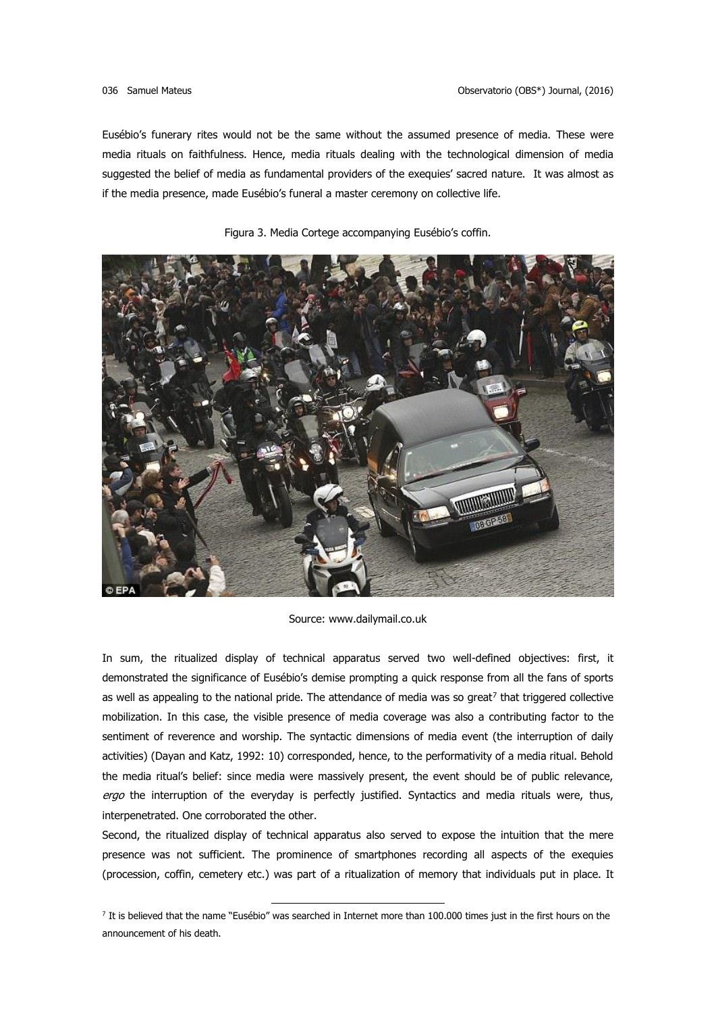Eusébio's funerary rites would not be the same without the assumed presence of media. These were media rituals on faithfulness. Hence, media rituals dealing with the technological dimension of media suggested the belief of media as fundamental providers of the exequies' sacred nature. It was almost as if the media presence, made Eusébio's funeral a master ceremony on collective life.



Figura 3. Media Cortege accompanying Eusébio's coffin.

Source: www.dailymail.co.uk

In sum, the ritualized display of technical apparatus served two well-defined objectives: first, it demonstrated the significance of Eusébio's demise prompting a quick response from all the fans of sports as well as appealing to the national pride. The attendance of media was so great<sup>7</sup> that triggered collective mobilization. In this case, the visible presence of media coverage was also a contributing factor to the sentiment of reverence and worship. The syntactic dimensions of media event (the interruption of daily activities) (Dayan and Katz, 1992: 10) corresponded, hence, to the performativity of a media ritual. Behold the media ritual's belief: since media were massively present, the event should be of public relevance, ergo the interruption of the everyday is perfectly justified. Syntactics and media rituals were, thus, interpenetrated. One corroborated the other.

Second, the ritualized display of technical apparatus also served to expose the intuition that the mere presence was not sufficient. The prominence of smartphones recording all aspects of the exequies (procession, coffin, cemetery etc.) was part of a ritualization of memory that individuals put in place. It

<sup>&</sup>lt;sup>7</sup> It is believed that the name "Eusébio" was searched in Internet more than 100.000 times just in the first hours on the announcement of his death.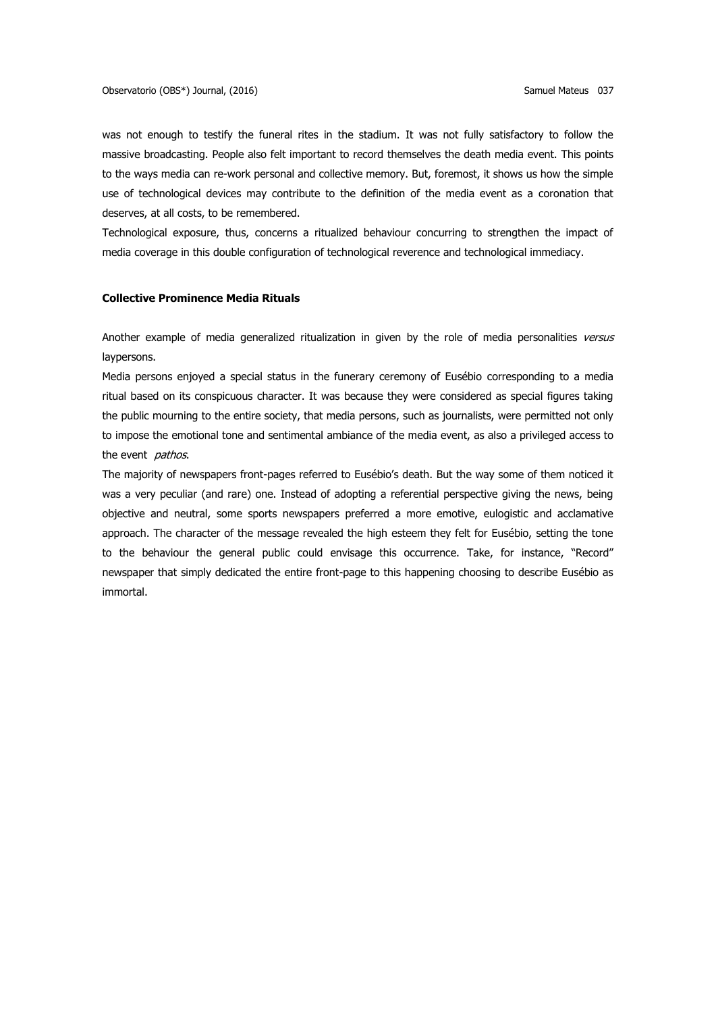was not enough to testify the funeral rites in the stadium. It was not fully satisfactory to follow the massive broadcasting. People also felt important to record themselves the death media event. This points to the ways media can re-work personal and collective memory. But, foremost, it shows us how the simple use of technological devices may contribute to the definition of the media event as a coronation that deserves, at all costs, to be remembered.

Technological exposure, thus, concerns a ritualized behaviour concurring to strengthen the impact of media coverage in this double configuration of technological reverence and technological immediacy.

### **Collective Prominence Media Rituals**

Another example of media generalized ritualization in given by the role of media personalities versus laypersons.

Media persons enjoyed a special status in the funerary ceremony of Eusébio corresponding to a media ritual based on its conspicuous character. It was because they were considered as special figures taking the public mourning to the entire society, that media persons, such as journalists, were permitted not only to impose the emotional tone and sentimental ambiance of the media event, as also a privileged access to the event *pathos*.

The majority of newspapers front-pages referred to Eusébio's death. But the way some of them noticed it was a very peculiar (and rare) one. Instead of adopting a referential perspective giving the news, being objective and neutral, some sports newspapers preferred a more emotive, eulogistic and acclamative approach. The character of the message revealed the high esteem they felt for Eusébio, setting the tone to the behaviour the general public could envisage this occurrence. Take, for instance, "Record" newspaper that simply dedicated the entire front-page to this happening choosing to describe Eusébio as immortal.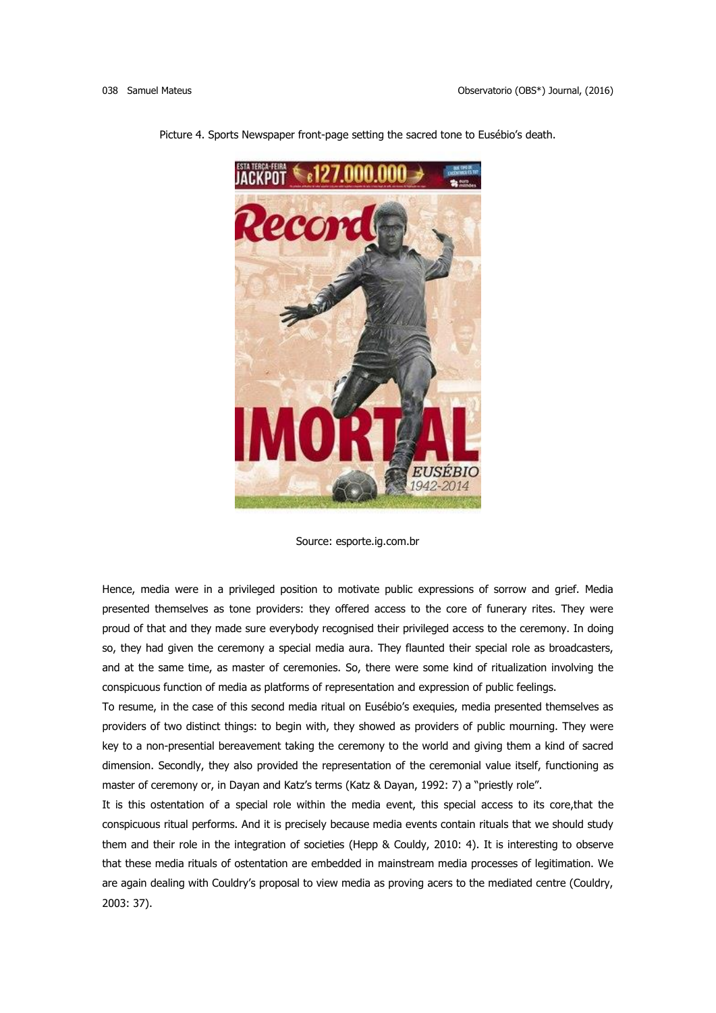

Picture 4. Sports Newspaper front-page setting the sacred tone to Eusébio's death.

Hence, media were in a privileged position to motivate public expressions of sorrow and grief. Media presented themselves as tone providers: they offered access to the core of funerary rites. They were proud of that and they made sure everybody recognised their privileged access to the ceremony. In doing so, they had given the ceremony a special media aura. They flaunted their special role as broadcasters, and at the same time, as master of ceremonies. So, there were some kind of ritualization involving the conspicuous function of media as platforms of representation and expression of public feelings.

To resume, in the case of this second media ritual on Eusébio's exequies, media presented themselves as providers of two distinct things: to begin with, they showed as providers of public mourning. They were key to a non-presential bereavement taking the ceremony to the world and giving them a kind of sacred dimension. Secondly, they also provided the representation of the ceremonial value itself, functioning as master of ceremony or, in Dayan and Katz's terms (Katz & Dayan, 1992: 7) a "priestly role".

It is this ostentation of a special role within the media event, this special access to its core,that the conspicuous ritual performs. And it is precisely because media events contain rituals that we should study them and their role in the integration of societies (Hepp & Couldy, 2010: 4). It is interesting to observe that these media rituals of ostentation are embedded in mainstream media processes of legitimation. We are again dealing with Couldry's proposal to view media as proving acers to the mediated centre (Couldry, 2003: 37).

Source: esporte.ig.com.br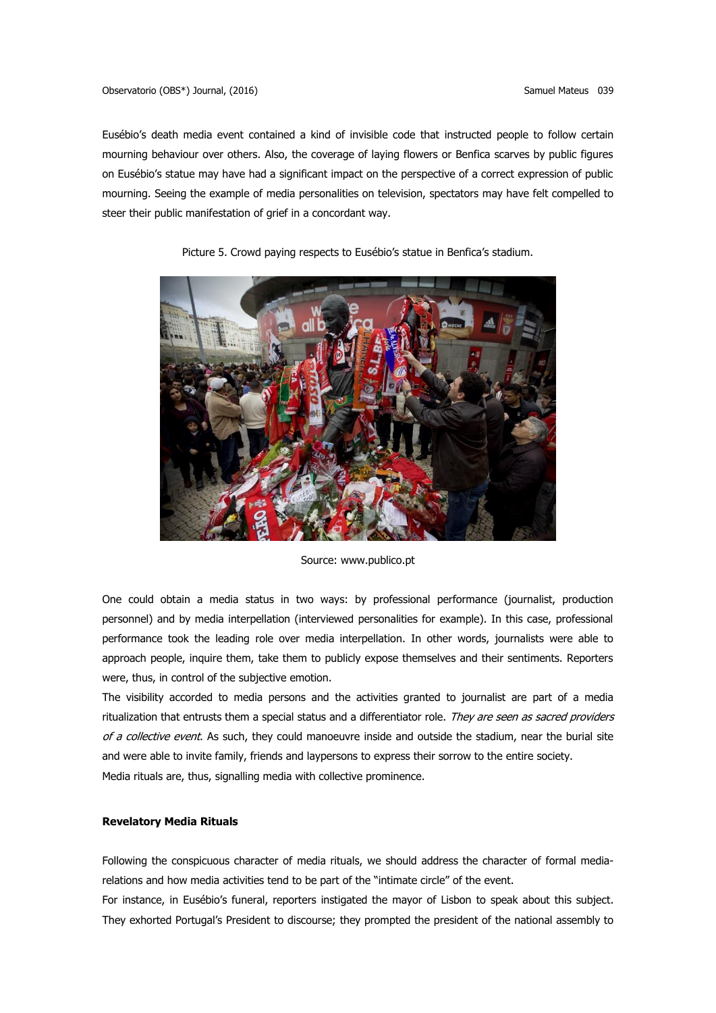Eusébio's death media event contained a kind of invisible code that instructed people to follow certain mourning behaviour over others. Also, the coverage of laying flowers or Benfica scarves by public figures on Eusébio's statue may have had a significant impact on the perspective of a correct expression of public mourning. Seeing the example of media personalities on television, spectators may have felt compelled to steer their public manifestation of grief in a concordant way.



Picture 5. Crowd paying respects to Eusébio's statue in Benfica's stadium.

Source: www.publico.pt

One could obtain a media status in two ways: by professional performance (journalist, production personnel) and by media interpellation (interviewed personalities for example). In this case, professional performance took the leading role over media interpellation. In other words, journalists were able to approach people, inquire them, take them to publicly expose themselves and their sentiments. Reporters were, thus, in control of the subjective emotion.

The visibility accorded to media persons and the activities granted to journalist are part of a media ritualization that entrusts them a special status and a differentiator role. They are seen as sacred providers of a collective event. As such, they could manoeuvre inside and outside the stadium, near the burial site and were able to invite family, friends and laypersons to express their sorrow to the entire society. Media rituals are, thus, signalling media with collective prominence.

## **Revelatory Media Rituals**

Following the conspicuous character of media rituals, we should address the character of formal mediarelations and how media activities tend to be part of the "intimate circle" of the event.

For instance, in Eusébio's funeral, reporters instigated the mayor of Lisbon to speak about this subject. They exhorted Portugal's President to discourse; they prompted the president of the national assembly to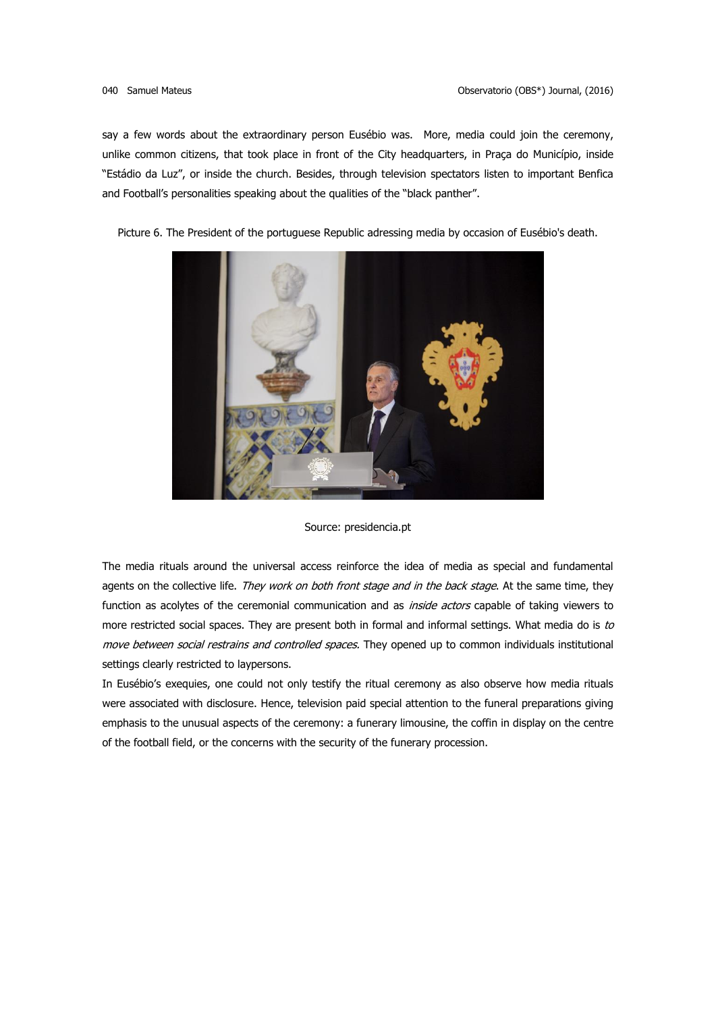say a few words about the extraordinary person Eusébio was. More, media could join the ceremony, unlike common citizens, that took place in front of the City headquarters, in Praça do Município, inside "Estádio da Luz", or inside the church. Besides, through television spectators listen to important Benfica and Football's personalities speaking about the qualities of the "black panther".

Picture 6. The President of the portuguese Republic adressing media by occasion of Eusébio's death.



Source: presidencia.pt

The media rituals around the universal access reinforce the idea of media as special and fundamental agents on the collective life. They work on both front stage and in the back stage. At the same time, they function as acolytes of the ceremonial communication and as *inside actors* capable of taking viewers to more restricted social spaces. They are present both in formal and informal settings. What media do is to move between social restrains and controlled spaces. They opened up to common individuals institutional settings clearly restricted to laypersons.

In Eusébio's exequies, one could not only testify the ritual ceremony as also observe how media rituals were associated with disclosure. Hence, television paid special attention to the funeral preparations giving emphasis to the unusual aspects of the ceremony: a funerary limousine, the coffin in display on the centre of the football field, or the concerns with the security of the funerary procession.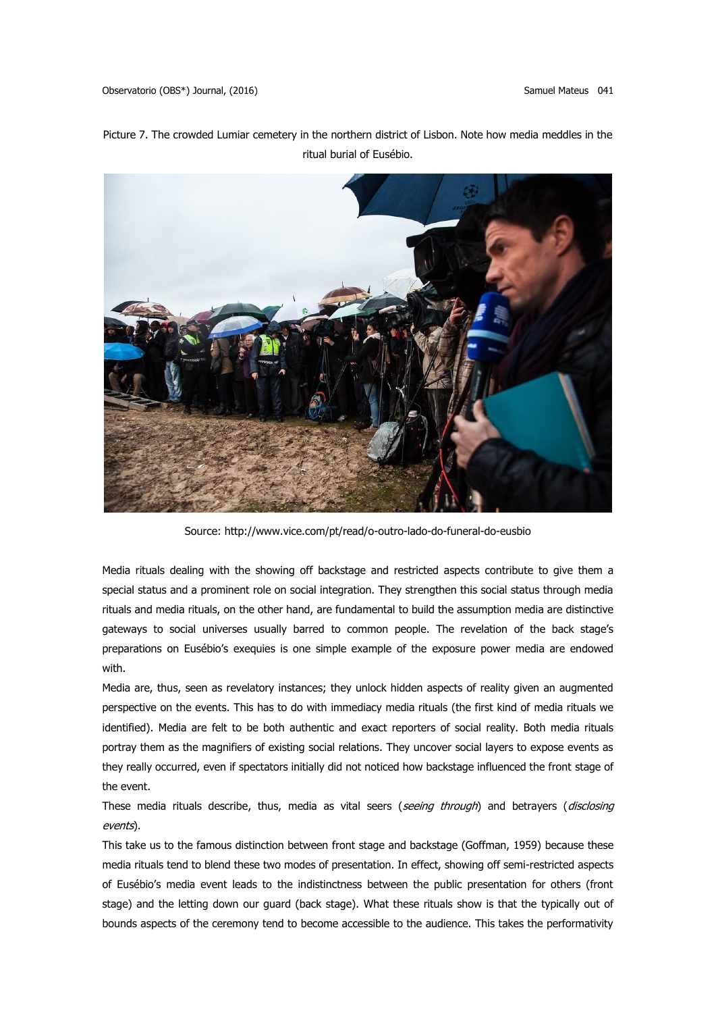Picture 7. The crowded Lumiar cemetery in the northern district of Lisbon. Note how media meddles in the ritual burial of Eusébio.



Source: http://www.vice.com/pt/read/o-outro-lado-do-funeral-do-eusbio

Media rituals dealing with the showing off backstage and restricted aspects contribute to give them a special status and a prominent role on social integration. They strengthen this social status through media rituals and media rituals, on the other hand, are fundamental to build the assumption media are distinctive gateways to social universes usually barred to common people. The revelation of the back stage's preparations on Eusébio's exequies is one simple example of the exposure power media are endowed with.

Media are, thus, seen as revelatory instances; they unlock hidden aspects of reality given an augmented perspective on the events. This has to do with immediacy media rituals (the first kind of media rituals we identified). Media are felt to be both authentic and exact reporters of social reality. Both media rituals portray them as the magnifiers of existing social relations. They uncover social layers to expose events as they really occurred, even if spectators initially did not noticed how backstage influenced the front stage of the event.

These media rituals describe, thus, media as vital seers (seeing through) and betrayers (disclosing events).

This take us to the famous distinction between front stage and backstage (Goffman, 1959) because these media rituals tend to blend these two modes of presentation. In effect, showing off semi-restricted aspects of Eusébio's media event leads to the indistinctness between the public presentation for others (front stage) and the letting down our guard (back stage). What these rituals show is that the typically out of bounds aspects of the ceremony tend to become accessible to the audience. This takes the performativity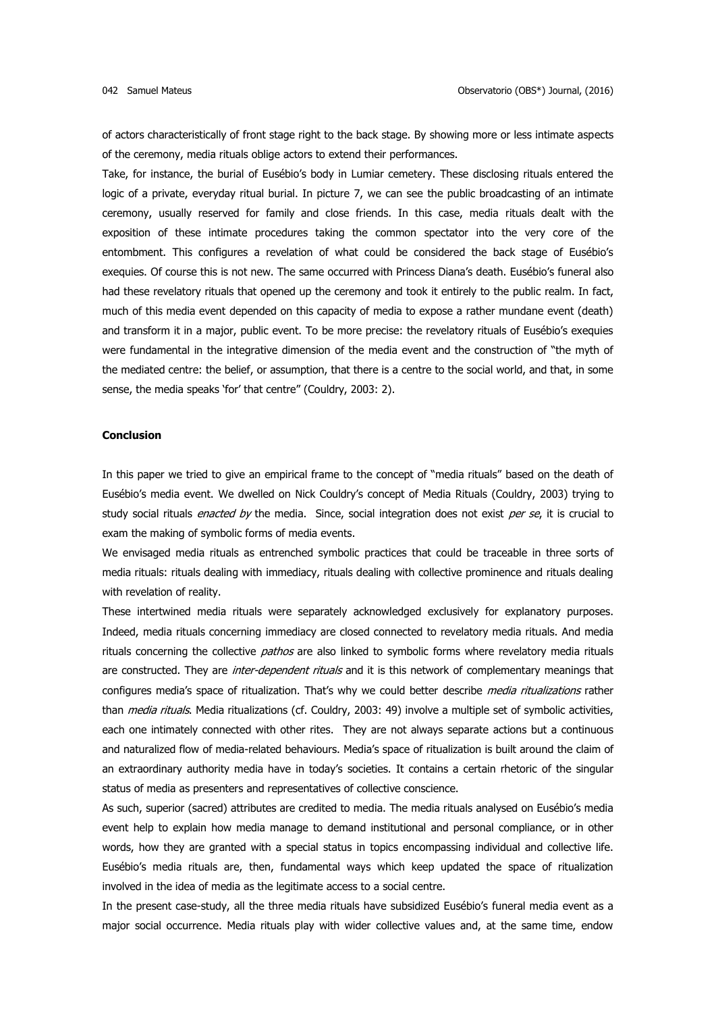of actors characteristically of front stage right to the back stage. By showing more or less intimate aspects of the ceremony, media rituals oblige actors to extend their performances.

Take, for instance, the burial of Eusébio's body in Lumiar cemetery. These disclosing rituals entered the logic of a private, everyday ritual burial. In picture 7, we can see the public broadcasting of an intimate ceremony, usually reserved for family and close friends. In this case, media rituals dealt with the exposition of these intimate procedures taking the common spectator into the very core of the entombment. This configures a revelation of what could be considered the back stage of Eusébio's exequies. Of course this is not new. The same occurred with Princess Diana's death. Eusébio's funeral also had these revelatory rituals that opened up the ceremony and took it entirely to the public realm. In fact, much of this media event depended on this capacity of media to expose a rather mundane event (death) and transform it in a major, public event. To be more precise: the revelatory rituals of Eusébio's exequies were fundamental in the integrative dimension of the media event and the construction of "the myth of the mediated centre: the belief, or assumption, that there is a centre to the social world, and that, in some sense, the media speaks 'for' that centre" (Couldry, 2003: 2).

### **Conclusion**

In this paper we tried to give an empirical frame to the concept of "media rituals" based on the death of Eusébio's media event. We dwelled on Nick Couldry's concept of Media Rituals (Couldry, 2003) trying to study social rituals *enacted by* the media. Since, social integration does not exist per se, it is crucial to exam the making of symbolic forms of media events.

We envisaged media rituals as entrenched symbolic practices that could be traceable in three sorts of media rituals: rituals dealing with immediacy, rituals dealing with collective prominence and rituals dealing with revelation of reality.

These intertwined media rituals were separately acknowledged exclusively for explanatory purposes. Indeed, media rituals concerning immediacy are closed connected to revelatory media rituals. And media rituals concerning the collective *pathos* are also linked to symbolic forms where revelatory media rituals are constructed. They are *inter-dependent rituals* and it is this network of complementary meanings that configures media's space of ritualization. That's why we could better describe media ritualizations rather than *media rituals*. Media ritualizations (cf. Couldry, 2003: 49) involve a multiple set of symbolic activities, each one intimately connected with other rites. They are not always separate actions but a continuous and naturalized flow of media-related behaviours. Media's space of ritualization is built around the claim of an extraordinary authority media have in today's societies. It contains a certain rhetoric of the singular status of media as presenters and representatives of collective conscience.

As such, superior (sacred) attributes are credited to media. The media rituals analysed on Eusébio's media event help to explain how media manage to demand institutional and personal compliance, or in other words, how they are granted with a special status in topics encompassing individual and collective life. Eusébio's media rituals are, then, fundamental ways which keep updated the space of ritualization involved in the idea of media as the legitimate access to a social centre.

In the present case-study, all the three media rituals have subsidized Eusébio's funeral media event as a major social occurrence. Media rituals play with wider collective values and, at the same time, endow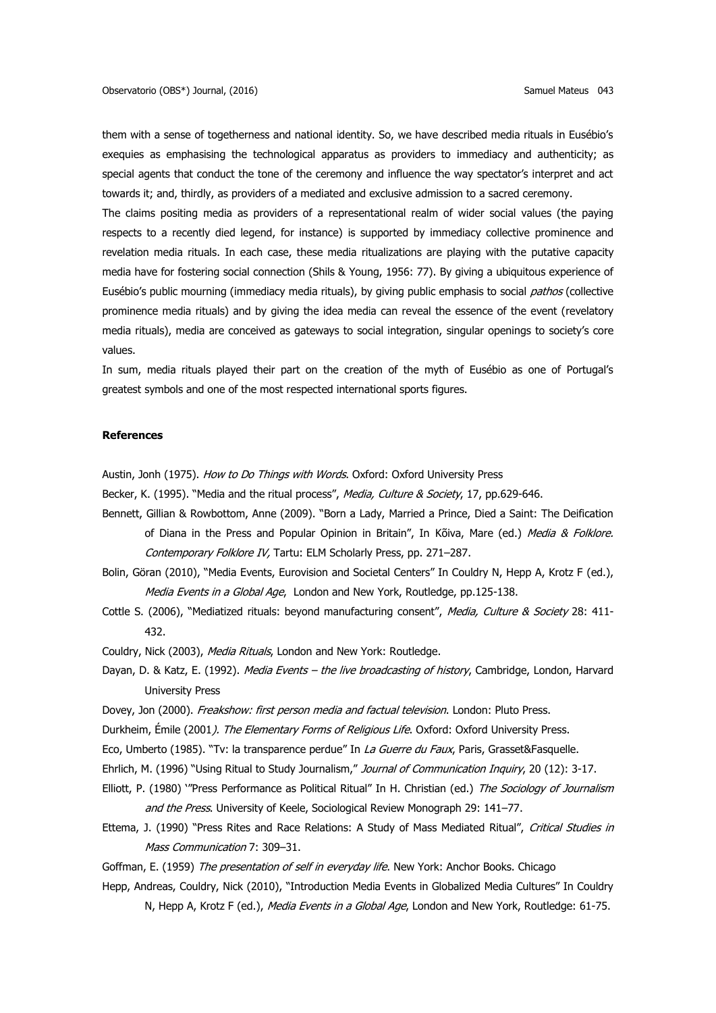them with a sense of togetherness and national identity. So, we have described media rituals in Eusébio's exequies as emphasising the technological apparatus as providers to immediacy and authenticity; as special agents that conduct the tone of the ceremony and influence the way spectator's interpret and act towards it; and, thirdly, as providers of a mediated and exclusive admission to a sacred ceremony.

The claims positing media as providers of a representational realm of wider social values (the paying respects to a recently died legend, for instance) is supported by immediacy collective prominence and revelation media rituals. In each case, these media ritualizations are playing with the putative capacity media have for fostering social connection (Shils & Young, 1956: 77). By giving a ubiquitous experience of Eusébio's public mourning (immediacy media rituals), by giving public emphasis to social pathos (collective prominence media rituals) and by giving the idea media can reveal the essence of the event (revelatory media rituals), media are conceived as gateways to social integration, singular openings to society's core values.

In sum, media rituals played their part on the creation of the myth of Eusébio as one of Portugal's greatest symbols and one of the most respected international sports figures.

### **References**

Austin, Jonh (1975). How to Do Things with Words. Oxford: Oxford University Press

Becker, K. (1995). "Media and the ritual process", Media, Culture & Society, 17, pp.629-646.

- Bennett, Gillian & Rowbottom, Anne (2009). "Born a Lady, Married a Prince, Died a Saint: The Deification of Diana in the Press and Popular Opinion in Britain", In Kõiva, Mare (ed.) Media & Folklore. Contemporary Folklore IV, Tartu: ELM Scholarly Press, pp. 271–287.
- Bolin, Göran (2010), "Media Events, Eurovision and Societal Centers" In Couldry N, Hepp A, Krotz F (ed.), Media Events in a Global Age, London and New York, Routledge, pp.125-138.
- Cottle S. (2006), "Mediatized rituals: beyond manufacturing consent", Media, Culture & Society 28: 411-432.

Couldry, Nick (2003), Media Rituals, London and New York: Routledge.

- Dayan, D. & Katz, E. (1992). Media Events the live broadcasting of history, Cambridge, London, Harvard University Press
- Dovey, Jon (2000). Freakshow: first person media and factual television. London: Pluto Press.
- Durkheim, Émile (2001*). The Elementary Forms of Religious Life*. Oxford: Oxford University Press.
- Eco, Umberto (1985). "Tv: la transparence perdue" In La Guerre du Faux, Paris, Grasset&Fasquelle.
- Ehrlich, M. (1996) "Using Ritual to Study Journalism," Journal of Communication Inquiry, 20 (12): 3-17.
- Elliott, P. (1980) "Press Performance as Political Ritual" In H. Christian (ed.) The Sociology of Journalism and the Press. University of Keele, Sociological Review Monograph 29: 141-77.
- Ettema, J. (1990) "Press Rites and Race Relations: A Study of Mass Mediated Ritual", Critical Studies in Mass Communication 7: 309–31.

Goffman, E. (1959) The presentation of self in everyday life. New York: Anchor Books. Chicago

Hepp, Andreas, Couldry, Nick (2010), "Introduction Media Events in Globalized Media Cultures" In Couldry N, Hepp A, Krotz F (ed.), Media Events in a Global Age, London and New York, Routledge: 61-75.